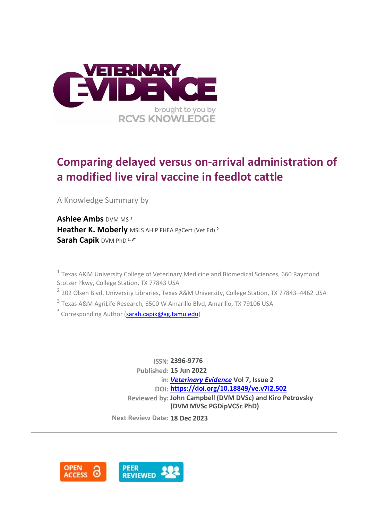

# **Comparing delayed versus on-arrival administration of a modified live viral vaccine in feedlot cattle**

A Knowledge Summary by

**Ashlee Ambs** DVM MS <sup>1</sup> **Heather K. Moberly** MSLS AHIP FHEA PgCert (Vet Ed) <sup>2</sup> Sarah Capik DVM PhD<sup>1,3\*</sup>

<sup>1</sup> Texas A&M University College of Veterinary Medicine and Biomedical Sciences, 660 Raymond Stotzer Pkwy, College Station, TX 77843 USA

- <sup>2</sup> 202 Olsen Blvd, University Libraries, Texas A&M University, College Station, TX 77843-4462 USA
- 3 Texas A&M AgriLife Research, 6500 W Amarillo Blvd, Amarillo, TX 79106 USA
- $\phi^*$  Corresponding Author [\(sarah.capik@ag.tamu.edu\)](sarah.capik@ag.tamu.edu)

**ISSN: 2396-9776 Published: 15 Jun 2022 in:** *[Veterinary Evidence](https://veterinaryevidence.org/index.php/ve)* **Vol 7, Issue 2 DOI: <https://doi.org/10.18849/ve.v7i2.502> Reviewed by: John Campbell (DVM DVSc) and Kiro Petrovsky (DVM MVSc PGDipVCSc PhD)**

**Next Review Date: 18 Dec 2023**

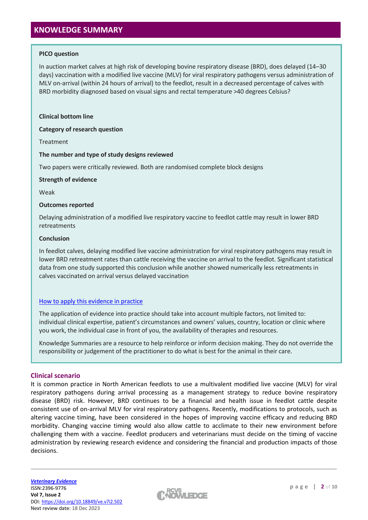# **KNOWLEDGE SUMMARY**

# **PICO question**

In auction market calves at high risk of developing bovine respiratory disease (BRD), does delayed (14–30 days) vaccination with a modified live vaccine (MLV) for viral respiratory pathogens versus administration of MLV on-arrival (within 24 hours of arrival) to the feedlot, result in a decreased percentage of calves with BRD morbidity diagnosed based on visual signs and rectal temperature >40 degrees Celsius?

# **Clinical bottom line**

# **Category of research question**

Treatment

# **The number and type of study designs reviewed**

Two papers were critically reviewed. Both are randomised complete block designs

# **Strength of evidence**

Weak

# **Outcomes reported**

Delaying administration of a modified live respiratory vaccine to feedlot cattle may result in lower BRD retreatments

# **Conclusion**

In feedlot calves, delaying modified live vaccine administration for viral respiratory pathogens may result in lower BRD retreatment rates than cattle receiving the vaccine on arrival to the feedlot. Significant statistical data from one study supported this conclusion while another showed numerically less retreatments in calves vaccinated on arrival versus delayed vaccination

# [How to apply this evidence in practice](https://learn.rcvsknowledge.org/mod/book/view.php?id=50)

The application of evidence into practice should take into account multiple factors, not limited to: individual clinical expertise, patient's circumstances and owners' values, country, location or clinic where you work, the individual case in front of you, the availability of therapies and resources.

Knowledge Summaries are a resource to help reinforce or inform decision making. They do not override the responsibility or judgement of the practitioner to do what is best for the animal in their care.

# **Clinical scenario**

It is common practice in North American feedlots to use a multivalent modified live vaccine (MLV) for viral respiratory pathogens during arrival processing as a management strategy to reduce bovine respiratory disease (BRD) risk. However, BRD continues to be a financial and health issue in feedlot cattle despite consistent use of on-arrival MLV for viral respiratory pathogens. Recently, modifications to protocols, such as altering vaccine timing, have been considered in the hopes of improving vaccine efficacy and reducing BRD morbidity. Changing vaccine timing would also allow cattle to acclimate to their new environment before challenging them with a vaccine. Feedlot producers and veterinarians must decide on the timing of vaccine administration by reviewing research evidence and considering the financial and production impacts of those decisions.

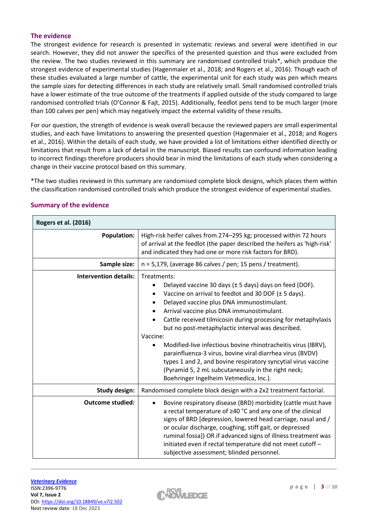# **The evidence**

The strongest evidence for research is presented in systematic reviews and several were identified in our search. However, they did not answer the specifics of the presented question and thus were excluded from the review. The two studies reviewed in this summary are randomised controlled trials\*, which produce the strongest evidence of experimental studies (Hagenmaier et al., 2018; and Rogers et al., 2016). Though each of these studies evaluated a large number of cattle, the experimental unit for each study was pen which means the sample sizes for detecting differences in each study are relatively small. Small randomised controlled trials have a lower estimate of the true outcome of the treatments if applied outside of the study compared to large randomised controlled trials (O'Connor & Fajt, 2015). Additionally, feedlot pens tend to be much larger (more than 100 calves per pen) which may negatively impact the external validity of these results.

For our question, the strength of evidence is weak overall because the reviewed papers are small experimental studies, and each have limitations to answering the presented question (Hagenmaier et al., 2018; and Rogers et al., 2016). Within the details of each study, we have provided a list of limitations either identified directly or limitations that result from a lack of detail in the manuscript. Biased results can confound information leading to incorrect findings therefore producers should bear in mind the limitations of each study when considering a change in their vaccine protocol based on this summary.

\*The two studies reviewed in this summary are randomised complete block designs, which places them within the classification randomised controlled trials which produce the strongest evidence of experimental studies.

| <b>Rogers et al. (2016)</b>  |                                                                                                                                                                                                                                                                                                                                                                                                                                                                                                                                                                                                                                                                       |  |  |  |  |
|------------------------------|-----------------------------------------------------------------------------------------------------------------------------------------------------------------------------------------------------------------------------------------------------------------------------------------------------------------------------------------------------------------------------------------------------------------------------------------------------------------------------------------------------------------------------------------------------------------------------------------------------------------------------------------------------------------------|--|--|--|--|
| <b>Population:</b>           | High-risk heifer calves from 274-295 kg; processed within 72 hours<br>of arrival at the feedlot (the paper described the heifers as 'high-risk'<br>and indicated they had one or more risk factors for BRD).                                                                                                                                                                                                                                                                                                                                                                                                                                                          |  |  |  |  |
| Sample size:                 | $n = 5,179$ , (average 86 calves / pen; 15 pens / treatment).                                                                                                                                                                                                                                                                                                                                                                                                                                                                                                                                                                                                         |  |  |  |  |
| <b>Intervention details:</b> | Treatments:<br>Delayed vaccine 30 days (± 5 days) days on feed (DOF).<br>Vaccine on arrival to feedlot and 30 DOF (± 5 days).<br>Delayed vaccine plus DNA immunostimulant.<br>Arrival vaccine plus DNA immunostimulant.<br>Cattle received tilmicosin during processing for metaphylaxis<br>but no post-metaphylactic interval was described.<br>Vaccine:<br>Modified-live infectious bovine rhinotracheitis virus (IBRV),<br>$\bullet$<br>parainfluenza-3 virus, bovine viral diarrhea virus (BVDV)<br>types 1 and 2, and bovine respiratory syncytial virus vaccine<br>(Pyramid 5, 2 mL subcutaneously in the right neck;<br>Boehringer Ingelheim Vetmedica, Inc.). |  |  |  |  |
| <b>Study design:</b>         | Randomised complete block design with a 2x2 treatment factorial.                                                                                                                                                                                                                                                                                                                                                                                                                                                                                                                                                                                                      |  |  |  |  |
| <b>Outcome studied:</b>      | Bovine respiratory disease (BRD) morbidity (cattle must have<br>$\bullet$<br>a rectal temperature of ≥40 °C and any one of the clinical<br>signs of BRD [depression, lowered head carriage, nasal and /<br>or ocular discharge, coughing, stiff gait, or depressed<br>ruminal fossa]) OR if advanced signs of illness treatment was<br>initiated even if rectal temperature did not meet cutoff -<br>subjective assessment; blinded personnel.                                                                                                                                                                                                                        |  |  |  |  |

# **Summary of the evidence**

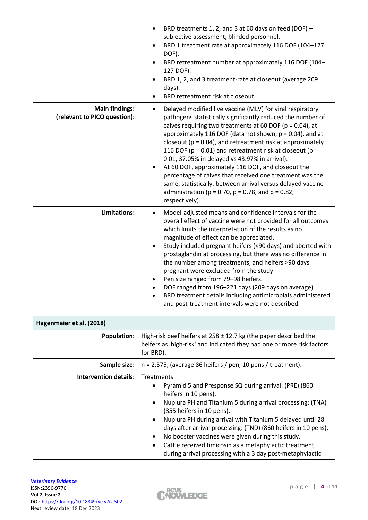|                                                       | BRD treatments 1, 2, and 3 at 60 days on feed (DOF) -<br>$\bullet$<br>subjective assessment; blinded personnel.<br>BRD 1 treatment rate at approximately 116 DOF (104-127<br>DOF).<br>BRD retreatment number at approximately 116 DOF (104-<br>$\bullet$<br>127 DOF).<br>BRD 1, 2, and 3 treatment-rate at closeout (average 209<br>days).<br>BRD retreatment risk at closeout.                                                                                                                                                                                                                                                                                                                                               |
|-------------------------------------------------------|-------------------------------------------------------------------------------------------------------------------------------------------------------------------------------------------------------------------------------------------------------------------------------------------------------------------------------------------------------------------------------------------------------------------------------------------------------------------------------------------------------------------------------------------------------------------------------------------------------------------------------------------------------------------------------------------------------------------------------|
| <b>Main findings:</b><br>(relevant to PICO question): | Delayed modified live vaccine (MLV) for viral respiratory<br>$\bullet$<br>pathogens statistically significantly reduced the number of<br>calves requiring two treatments at 60 DOF ( $p = 0.04$ ), at<br>approximately 116 DOF (data not shown, $p = 0.04$ ), and at<br>closeout ( $p = 0.04$ ), and retreatment risk at approximately<br>116 DOF ( $p = 0.01$ ) and retreatment risk at closeout ( $p =$<br>0.01, 37.05% in delayed vs 43.97% in arrival).<br>At 60 DOF, approximately 116 DOF, and closeout the<br>percentage of calves that received one treatment was the<br>same, statistically, between arrival versus delayed vaccine<br>administration ( $p = 0.70$ , $p = 0.78$ , and $p = 0.82$ ,<br>respectively). |
| Limitations:                                          | Model-adjusted means and confidence intervals for the<br>$\bullet$<br>overall effect of vaccine were not provided for all outcomes<br>which limits the interpretation of the results as no<br>magnitude of effect can be appreciated.<br>Study included pregnant heifers (<90 days) and aborted with<br>prostaglandin at processing, but there was no difference in<br>the number among treatments, and heifers >90 days<br>pregnant were excluded from the study.<br>Pen size ranged from 79-98 heifers.<br>DOF ranged from 196-221 days (209 days on average).<br>BRD treatment details including antimicrobials administered<br>and post-treatment intervals were not described.                                           |

| Hagenmaier et al. (2018)     |                                                                                                                                                                                                                                                                                                                                                                                                                                                                                                                                             |  |  |  |  |
|------------------------------|---------------------------------------------------------------------------------------------------------------------------------------------------------------------------------------------------------------------------------------------------------------------------------------------------------------------------------------------------------------------------------------------------------------------------------------------------------------------------------------------------------------------------------------------|--|--|--|--|
| <b>Population:</b>           | High-risk beef heifers at $258 \pm 12.7$ kg (the paper described the<br>heifers as 'high-risk' and indicated they had one or more risk factors<br>for BRD).                                                                                                                                                                                                                                                                                                                                                                                 |  |  |  |  |
| Sample size:                 | $n = 2,575$ , (average 86 heifers / pen, 10 pens / treatment).                                                                                                                                                                                                                                                                                                                                                                                                                                                                              |  |  |  |  |
| <b>Intervention details:</b> | Treatments:<br>Pyramid 5 and Presponse SQ during arrival: (PRE) (860)<br>heifers in 10 pens).<br>Nuplura PH and Titanium 5 during arrival processing: (TNA)<br>$\bullet$<br>(855 heifers in 10 pens).<br>Nuplura PH during arrival with Titanium 5 delayed until 28<br>$\bullet$<br>days after arrival processing: (TND) (860 heifers in 10 pens).<br>No booster vaccines were given during this study.<br>Cattle received timicosin as a metaphylactic treatment<br>$\bullet$<br>during arrival processing with a 3 day post-metaphylactic |  |  |  |  |

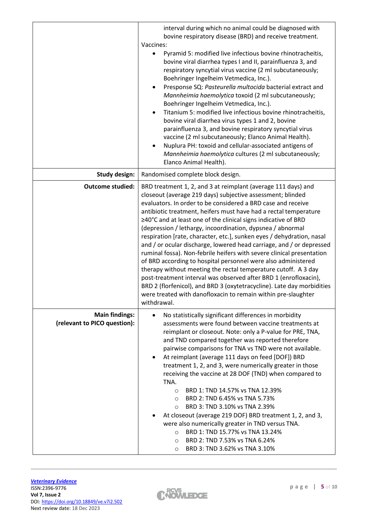|                                                       | interval during which no animal could be diagnosed with<br>bovine respiratory disease (BRD) and receive treatment.<br>Vaccines:<br>Pyramid 5: modified live infectious bovine rhinotracheitis,<br>bovine viral diarrhea types I and II, parainfluenza 3, and<br>respiratory syncytial virus vaccine (2 ml subcutaneously;<br>Boehringer Ingelheim Vetmedica, Inc.).<br>Presponse SQ: Pasteurella multocida bacterial extract and<br>Mannheimia haemolytica toxoid (2 ml subcutaneously;<br>Boehringer Ingelheim Vetmedica, Inc.).<br>Titanium 5: modified live infectious bovine rhinotracheitis,<br>bovine viral diarrhea virus types 1 and 2, bovine<br>parainfluenza 3, and bovine respiratory syncytial virus<br>vaccine (2 ml subcutaneously; Elanco Animal Health).<br>Nuplura PH: toxoid and cellular-associated antigens of<br>$\bullet$<br>Mannheimia haemolytica cultures (2 ml subcutaneously;<br>Elanco Animal Health).                                                        |  |  |  |
|-------------------------------------------------------|--------------------------------------------------------------------------------------------------------------------------------------------------------------------------------------------------------------------------------------------------------------------------------------------------------------------------------------------------------------------------------------------------------------------------------------------------------------------------------------------------------------------------------------------------------------------------------------------------------------------------------------------------------------------------------------------------------------------------------------------------------------------------------------------------------------------------------------------------------------------------------------------------------------------------------------------------------------------------------------------|--|--|--|
| <b>Study design:</b>                                  | Randomised complete block design.                                                                                                                                                                                                                                                                                                                                                                                                                                                                                                                                                                                                                                                                                                                                                                                                                                                                                                                                                          |  |  |  |
| <b>Outcome studied:</b>                               | BRD treatment 1, 2, and 3 at reimplant (average 111 days) and<br>closeout (average 219 days) subjective assessment; blinded<br>evaluators. In order to be considered a BRD case and receive<br>antibiotic treatment, heifers must have had a rectal temperature<br>≥40°C and at least one of the clinical signs indicative of BRD<br>(depression / lethargy, incoordination, dypsnea / abnormal<br>respiration [rate, character, etc.], sunken eyes / dehydration, nasal<br>and / or ocular discharge, lowered head carriage, and / or depressed<br>ruminal fossa). Non-febrile heifers with severe clinical presentation<br>of BRD according to hospital personnel were also administered<br>therapy without meeting the rectal temperature cutoff. A 3 day<br>post-treatment interval was observed after BRD 1 (enrofloxacin),<br>BRD 2 (florfenicol), and BRD 3 (oxytetracycline). Late day morbidities<br>were treated with danofloxacin to remain within pre-slaughter<br>withdrawal. |  |  |  |
| <b>Main findings:</b><br>(relevant to PICO question): | No statistically significant differences in morbidity<br>assessments were found between vaccine treatments at<br>reimplant or closeout. Note: only a P-value for PRE, TNA,<br>and TND compared together was reported therefore<br>pairwise comparisons for TNA vs TND were not available.<br>At reimplant (average 111 days on feed [DOF]) BRD<br>treatment 1, 2, and 3, were numerically greater in those<br>receiving the vaccine at 28 DOF (TND) when compared to<br>TNA.<br>BRD 1: TND 14.57% vs TNA 12.39%<br>$\circ$<br>BRD 2: TND 6.45% vs TNA 5.73%<br>$\circ$<br>BRD 3: TND 3.10% vs TNA 2.39%<br>$\circ$<br>At closeout (average 219 DOF) BRD treatment 1, 2, and 3,<br>were also numerically greater in TND versus TNA.<br>BRD 1: TND 15.77% vs TNA 13.24%<br>$\circ$<br>BRD 2: TND 7.53% vs TNA 6.24%<br>$\circ$<br>BRD 3: TND 3.62% vs TNA 3.10%<br>$\circ$                                                                                                                   |  |  |  |

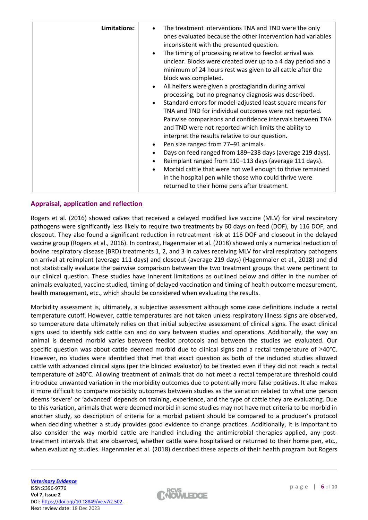| Limitations: | The treatment interventions TNA and TND were the only<br>ones evaluated because the other intervention had variables<br>inconsistent with the presented question.<br>The timing of processing relative to feedlot arrival was<br>unclear. Blocks were created over up to a 4 day period and a<br>minimum of 24 hours rest was given to all cattle after the<br>block was completed.<br>All heifers were given a prostaglandin during arrival<br>processing, but no pregnancy diagnosis was described.<br>Standard errors for model-adjusted least square means for<br>TNA and TND for individual outcomes were not reported.<br>Pairwise comparisons and confidence intervals between TNA<br>and TND were not reported which limits the ability to<br>interpret the results relative to our question.<br>Pen size ranged from 77-91 animals.<br>Days on feed ranged from 189-238 days (average 219 days). |
|--------------|-----------------------------------------------------------------------------------------------------------------------------------------------------------------------------------------------------------------------------------------------------------------------------------------------------------------------------------------------------------------------------------------------------------------------------------------------------------------------------------------------------------------------------------------------------------------------------------------------------------------------------------------------------------------------------------------------------------------------------------------------------------------------------------------------------------------------------------------------------------------------------------------------------------|
|              | Reimplant ranged from 110-113 days (average 111 days).                                                                                                                                                                                                                                                                                                                                                                                                                                                                                                                                                                                                                                                                                                                                                                                                                                                    |
|              | Morbid cattle that were not well enough to thrive remained<br>in the hospital pen while those who could thrive were<br>returned to their home pens after treatment.                                                                                                                                                                                                                                                                                                                                                                                                                                                                                                                                                                                                                                                                                                                                       |

# **Appraisal, application and reflection**

Rogers et al. (2016) showed calves that received a delayed modified live vaccine (MLV) for viral respiratory pathogens were significantly less likely to require two treatments by 60 days on feed (DOF), by 116 DOF, and closeout. They also found a significant reduction in retreatment risk at 116 DOF and closeout in the delayed vaccine group (Rogers et al., 2016). In contrast, Hagenmaier et al. (2018) showed only a numerical reduction of bovine respiratory disease (BRD) treatments 1, 2, and 3 in calves receiving MLV for viral respiratory pathogens on arrival at reimplant (average 111 days) and closeout (average 219 days) (Hagenmaier et al., 2018) and did not statistically evaluate the pairwise comparison between the two treatment groups that were pertinent to our clinical question. These studies have inherent limitations as outlined below and differ in the number of animals evaluated, vaccine studied, timing of delayed vaccination and timing of health outcome measurement, health management, etc., which should be considered when evaluating the results.

Morbidity assessment is, ultimately, a subjective assessment although some case definitions include a rectal temperature cutoff. However, cattle temperatures are not taken unless respiratory illness signs are observed, so temperature data ultimately relies on that initial subjective assessment of clinical signs. The exact clinical signs used to identify sick cattle can and do vary between studies and operations. Additionally, the way an animal is deemed morbid varies between feedlot protocols and between the studies we evaluated. Our specific question was about cattle deemed morbid due to clinical signs and a rectal temperature of >40°C. However, no studies were identified that met that exact question as both of the included studies allowed cattle with advanced clinical signs (per the blinded evaluator) to be treated even if they did not reach a rectal temperature of ≥40°C. Allowing treatment of animals that do not meet a rectal temperature threshold could introduce unwanted variation in the morbidity outcomes due to potentially more false positives. It also makes it more difficult to compare morbidity outcomes between studies as the variation related to what one person deems 'severe' or 'advanced' depends on training, experience, and the type of cattle they are evaluating. Due to this variation, animals that were deemed morbid in some studies may not have met criteria to be morbid in another study, so description of criteria for a morbid patient should be compared to a producer's protocol when deciding whether a study provides good evidence to change practices. Additionally, it is important to also consider the way morbid cattle are handled including the antimicrobial therapies applied, any posttreatment intervals that are observed, whether cattle were hospitalised or returned to their home pen, etc., when evaluating studies. Hagenmaier et al. (2018) described these aspects of their health program but Rogers

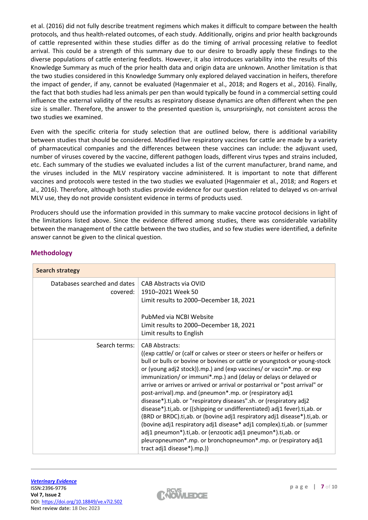et al. (2016) did not fully describe treatment regimens which makes it difficult to compare between the health protocols, and thus health-related outcomes, of each study. Additionally, origins and prior health backgrounds of cattle represented within these studies differ as do the timing of arrival processing relative to feedlot arrival. This could be a strength of this summary due to our desire to broadly apply these findings to the diverse populations of cattle entering feedlots. However, it also introduces variability into the results of this Knowledge Summary as much of the prior health data and origin data are unknown. Another limitation is that the two studies considered in this Knowledge Summary only explored delayed vaccination in heifers, therefore the impact of gender, if any, cannot be evaluated (Hagenmaier et al., 2018; and Rogers et al., 2016). Finally, the fact that both studies had less animals per pen than would typically be found in a commercial setting could influence the external validity of the results as respiratory disease dynamics are often different when the pen size is smaller. Therefore, the answer to the presented question is, unsurprisingly, not consistent across the two studies we examined.

Even with the specific criteria for study selection that are outlined below, there is additional variability between studies that should be considered. Modified live respiratory vaccines for cattle are made by a variety of pharmaceutical companies and the differences between these vaccines can include: the adjuvant used, number of viruses covered by the vaccine, different pathogen loads, different virus types and strains included, etc. Each summary of the studies we evaluated includes a list of the current manufacturer, brand name, and the viruses included in the MLV respiratory vaccine administered. It is important to note that different vaccines and protocols were tested in the two studies we evaluated (Hagenmaier et al., 2018; and Rogers et al., 2016). Therefore, although both studies provide evidence for our question related to delayed vs on-arrival MLV use, they do not provide consistent evidence in terms of products used.

Producers should use the information provided in this summary to make vaccine protocol decisions in light of the limitations listed above. Since the evidence differed among studies, there was considerable variability between the management of the cattle between the two studies, and so few studies were identified, a definite answer cannot be given to the clinical question.

| <b>Search strategy</b>                   |                                                                                                                                                                                                                                                                                                                                                                                                                                                                                                                                                                                                                                                                                                                                                                                                                                                                                                                                                     |  |
|------------------------------------------|-----------------------------------------------------------------------------------------------------------------------------------------------------------------------------------------------------------------------------------------------------------------------------------------------------------------------------------------------------------------------------------------------------------------------------------------------------------------------------------------------------------------------------------------------------------------------------------------------------------------------------------------------------------------------------------------------------------------------------------------------------------------------------------------------------------------------------------------------------------------------------------------------------------------------------------------------------|--|
| Databases searched and dates<br>covered: | <b>CAB Abstracts via OVID</b><br>1910-2021 Week 50<br>Limit results to 2000-December 18, 2021<br>PubMed via NCBI Website<br>Limit results to 2000–December 18, 2021<br>Limit results to English                                                                                                                                                                                                                                                                                                                                                                                                                                                                                                                                                                                                                                                                                                                                                     |  |
| Search terms:                            | <b>CAB Abstracts:</b><br>((exp cattle/ or (calf or calves or steer or steers or heifer or heifers or<br>bull or bulls or bovine or bovines or cattle or youngstock or young-stock<br>or (young adj2 stock)).mp.) and (exp vaccines/ or vaccin*.mp. or exp<br>immunization/ or immuni*.mp.) and (delay or delays or delayed or<br>arrive or arrives or arrived or arrival or postarrival or "post arrival" or<br>post-arrival).mp. and (pneumon*.mp. or (respiratory adj1<br>disease*).ti, ab. or "respiratory diseases".sh. or (respiratory adj2<br>disease*).ti,ab. or ((shipping or undifferentiated) adj1 fever).ti,ab. or<br>(BRD or BRDC).ti,ab. or (bovine adj1 respiratory adj1 disease*).ti,ab. or<br>(bovine adj1 respiratory adj1 disease* adj1 complex).ti,ab. or (summer<br>adj1 pneumon*).ti,ab. or (enzootic adj1 pneumon*).ti,ab. or<br>pleuropneumon*.mp. or bronchopneumon*.mp. or (respiratory adj1<br>tract adj1 disease*).mp.)) |  |

# **Methodology**

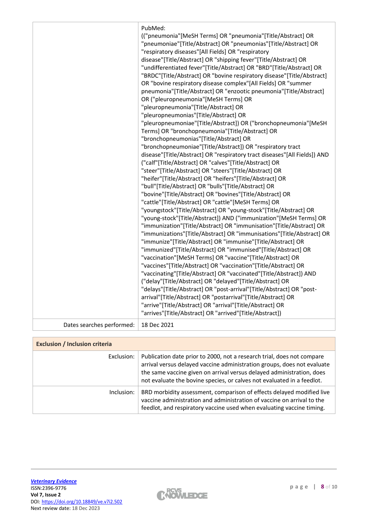|                           | PubMed:<br>(("pneumonia"[MeSH Terms] OR "pneumonia"[Title/Abstract] OR<br>"pneumoniae"[Title/Abstract] OR "pneumonias"[Title/Abstract] OR<br>"respiratory diseases"[All Fields] OR "respiratory<br>disease"[Title/Abstract] OR "shipping fever"[Title/Abstract] OR<br>"undifferentiated fever"[Title/Abstract] OR "BRD"[Title/Abstract] OR<br>"BRDC"[Title/Abstract] OR "bovine respiratory disease"[Title/Abstract]<br>OR "bovine respiratory disease complex"[All Fields] OR "summer<br>pneumonia"[Title/Abstract] OR "enzootic pneumonia"[Title/Abstract]<br>OR ("pleuropneumonia"[MeSH Terms] OR<br>"pleuropneumonia"[Title/Abstract] OR<br>"pleuropneumonias"[Title/Abstract] OR<br>"pleuropneumoniae"[Title/Abstract]) OR ("bronchopneumonia"[MeSH<br>Terms] OR "bronchopneumonia"[Title/Abstract] OR<br>"bronchopneumonias"[Title/Abstract] OR<br>"bronchopneumoniae"[Title/Abstract]) OR "respiratory tract<br>disease"[Title/Abstract] OR "respiratory tract diseases"[All Fields]) AND<br>("calf"[Title/Abstract] OR "calves"[Title/Abstract] OR<br>"steer"[Title/Abstract] OR "steers"[Title/Abstract] OR<br>"heifer"[Title/Abstract] OR "heifers"[Title/Abstract] OR<br>"bull"[Title/Abstract] OR "bulls"[Title/Abstract] OR<br>"bovine"[Title/Abstract] OR "bovines"[Title/Abstract] OR<br>"cattle"[Title/Abstract] OR "cattle"[MeSH Terms] OR<br>"youngstock"[Title/Abstract] OR "young-stock"[Title/Abstract] OR<br>"young-stock"[Title/Abstract]) AND ("immunization"[MeSH Terms] OR<br>"immunization"[Title/Abstract] OR "immunisation"[Title/Abstract] OR<br>"immunizations"[Title/Abstract] OR "immunisations"[Title/Abstract] OR<br>"immunize"[Title/Abstract] OR "immunise"[Title/Abstract] OR<br>"immunized"[Title/Abstract] OR "immunised"[Title/Abstract] OR<br>"vaccination"[MeSH Terms] OR "vaccine"[Title/Abstract] OR<br>"vaccines"[Title/Abstract] OR "vaccination"[Title/Abstract] OR<br>"vaccinating"[Title/Abstract] OR "vaccinated"[Title/Abstract]) AND<br>("delay"[Title/Abstract] OR "delayed"[Title/Abstract] OR<br>"delays"[Title/Abstract] OR "post-arrival"[Title/Abstract] OR "post-<br>arrival"[Title/Abstract] OR "postarrival"[Title/Abstract] OR<br>"arrive"[Title/Abstract] OR "arrival"[Title/Abstract] OR<br>"arrives"[Title/Abstract] OR "arrived"[Title/Abstract]) |
|---------------------------|----------------------------------------------------------------------------------------------------------------------------------------------------------------------------------------------------------------------------------------------------------------------------------------------------------------------------------------------------------------------------------------------------------------------------------------------------------------------------------------------------------------------------------------------------------------------------------------------------------------------------------------------------------------------------------------------------------------------------------------------------------------------------------------------------------------------------------------------------------------------------------------------------------------------------------------------------------------------------------------------------------------------------------------------------------------------------------------------------------------------------------------------------------------------------------------------------------------------------------------------------------------------------------------------------------------------------------------------------------------------------------------------------------------------------------------------------------------------------------------------------------------------------------------------------------------------------------------------------------------------------------------------------------------------------------------------------------------------------------------------------------------------------------------------------------------------------------------------------------------------------------------------------------------------------------------------------------------------------------------------------------------------------------------------------------------------------------------------------------------------------------------------------------------------------------------------------------------------------------------------------------------------------------------------------------------------|
|                           |                                                                                                                                                                                                                                                                                                                                                                                                                                                                                                                                                                                                                                                                                                                                                                                                                                                                                                                                                                                                                                                                                                                                                                                                                                                                                                                                                                                                                                                                                                                                                                                                                                                                                                                                                                                                                                                                                                                                                                                                                                                                                                                                                                                                                                                                                                                      |
|                           |                                                                                                                                                                                                                                                                                                                                                                                                                                                                                                                                                                                                                                                                                                                                                                                                                                                                                                                                                                                                                                                                                                                                                                                                                                                                                                                                                                                                                                                                                                                                                                                                                                                                                                                                                                                                                                                                                                                                                                                                                                                                                                                                                                                                                                                                                                                      |
| Dates searches performed: | 18 Dec 2021                                                                                                                                                                                                                                                                                                                                                                                                                                                                                                                                                                                                                                                                                                                                                                                                                                                                                                                                                                                                                                                                                                                                                                                                                                                                                                                                                                                                                                                                                                                                                                                                                                                                                                                                                                                                                                                                                                                                                                                                                                                                                                                                                                                                                                                                                                          |
|                           |                                                                                                                                                                                                                                                                                                                                                                                                                                                                                                                                                                                                                                                                                                                                                                                                                                                                                                                                                                                                                                                                                                                                                                                                                                                                                                                                                                                                                                                                                                                                                                                                                                                                                                                                                                                                                                                                                                                                                                                                                                                                                                                                                                                                                                                                                                                      |

| <b>Exclusion / Inclusion criteria</b> |                                                                                                                                                                                                                                                                                                      |  |  |
|---------------------------------------|------------------------------------------------------------------------------------------------------------------------------------------------------------------------------------------------------------------------------------------------------------------------------------------------------|--|--|
| Exclusion:                            | Publication date prior to 2000, not a research trial, does not compare<br>arrival versus delayed vaccine administration groups, does not evaluate<br>the same vaccine given on arrival versus delayed administration, does<br>not evaluate the bovine species, or calves not evaluated in a feedlot. |  |  |
| Inclusion:                            | BRD morbidity assessment, comparison of effects delayed modified live<br>vaccine administration and administration of vaccine on arrival to the<br>feedlot, and respiratory vaccine used when evaluating vaccine timing.                                                                             |  |  |

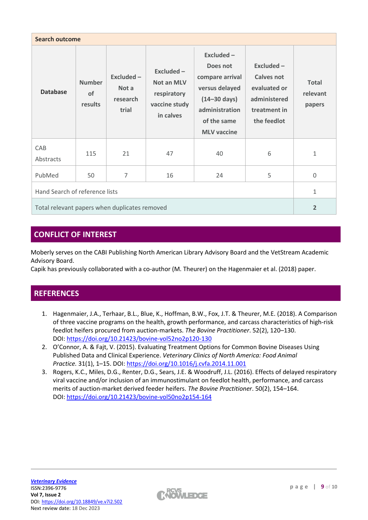| <b>Search outcome</b>                         |                                       |                                         |                                                                                |                                                                                                                                             |                                                                                                  |                                    |
|-----------------------------------------------|---------------------------------------|-----------------------------------------|--------------------------------------------------------------------------------|---------------------------------------------------------------------------------------------------------------------------------------------|--------------------------------------------------------------------------------------------------|------------------------------------|
| <b>Database</b>                               | <b>Number</b><br><b>of</b><br>results | Excluded-<br>Not a<br>research<br>trial | Excluded $-$<br><b>Not an MLV</b><br>respiratory<br>vaccine study<br>in calves | Excluded-<br>Does not<br>compare arrival<br>versus delayed<br>$(14-30 \text{ days})$<br>administration<br>of the same<br><b>MLV</b> vaccine | $Excluded -$<br><b>Calves not</b><br>evaluated or<br>administered<br>treatment in<br>the feedlot | <b>Total</b><br>relevant<br>papers |
| CAB<br>Abstracts                              | 115                                   | 21                                      | 47                                                                             | 40                                                                                                                                          | 6                                                                                                | $\mathbf{1}$                       |
| PubMed                                        | 50                                    | 7                                       | 16                                                                             | 24                                                                                                                                          | 5                                                                                                | 0                                  |
| Hand Search of reference lists                |                                       |                                         |                                                                                | $\mathbf 1$                                                                                                                                 |                                                                                                  |                                    |
| Total relevant papers when duplicates removed |                                       |                                         |                                                                                | $\overline{2}$                                                                                                                              |                                                                                                  |                                    |

# **CONFLICT OF INTEREST**

Moberly serves on the CABI Publishing North American Library Advisory Board and the VetStream Academic Advisory Board.

Capik has previously collaborated with a co-author (M. Theurer) on the Hagenmaier et al. (2018) paper.

# **REFERENCES**

- 1. Hagenmaier, J.A., Terhaar, B.L., Blue, K., Hoffman, B.W., Fox, J.T. & Theurer, M.E. (2018). A Comparison of three vaccine programs on the health, growth performance, and carcass characteristics of high-risk feedlot heifers procured from auction-markets. *The Bovine Practitioner*. 52(2), 120–130. DOI: <https://doi.org/10.21423/bovine-vol52no2p120-130>
- 2. O'Connor, A. & Fajt, V. (2015). Evaluating Treatment Options for Common Bovine Diseases Using Published Data and Clinical Experience. *Veterinary Clinics of North America: Food Animal Practice.* 31(1), 1–15. DOI: <https://doi.org/10.1016/j.cvfa.2014.11.001>
- 3. Rogers, K.C., Miles, D.G., Renter, D.G., Sears, J.E. & Woodruff, J.L. (2016). Effects of delayed respiratory viral vaccine and/or inclusion of an immunostimulant on feedlot health, performance, and carcass merits of auction-market derived feeder heifers. *The Bovine Practitioner*. 50(2), 154–164. DOI: <https://doi.org/10.21423/bovine-vol50no2p154-164>